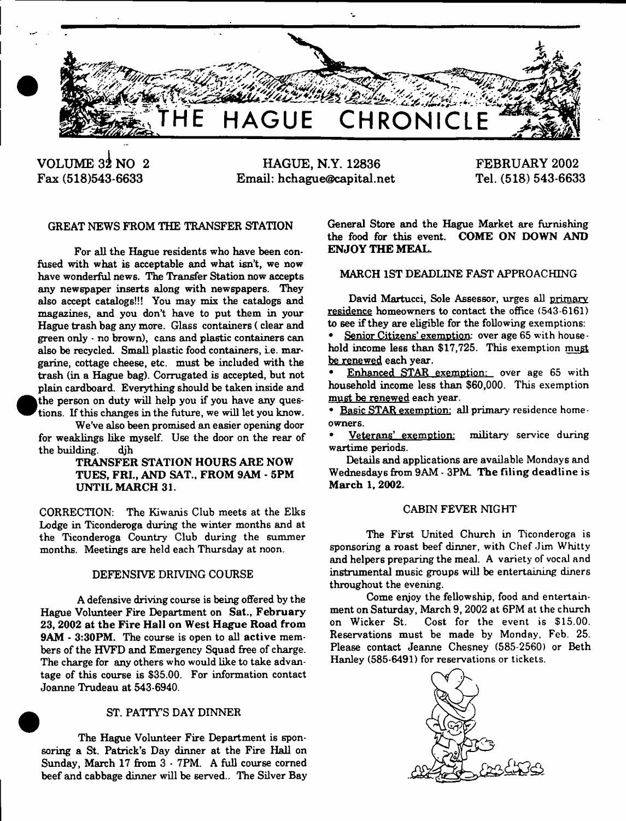

**VOLUME 32 NO 2 Fax (518)543-6633**

**HAGUE, N.Y. 12836 Email: [hchague@capital.net](mailto:hchague@capital.net)**

**FEBRUARY 2002 Tel. (518) 543-6633**

# GREAT NEWS FROM THE TRANSFER STATION

For all the Hague residents who have been confused with what is acceptable and what isn't, we now have wonderful news. The Transfer Station now accepts any newspaper inserts along with newspapers. They also accept catalogs!!! You may mix the catalogs and magazines, and you don't have to put them in your Hague trash bag any more. Glass containers ( clear and green only - no brown), cans and plastic containers can also be recycled. Small plastic food containers, i.e. margarine, cottage cheese, etc. must be included with the trash (in a Hague bag). Corrugated is accepted, but not plain cardboard. Everything should be taken inside and the person on duty will help you if you have any questions. If this changes in the future, we will let you know.

We've also been promised an easier opening door for weaklings like myself. Use the door on the rear of the building. djh

#### TRANSFER STATION HOURS ARE NOW TUES, FRI., AND SAT., FROM 9AM - 5PM UNTIL MARCH 31.

CORRECTION: The Kiwanis Club meets at the Elks Lodge in Ticonderoga during the winter months and at the Ticonderoga Country Club during the summer months. Meetings are held each Thursday at noon.

#### DEFENSIVE DRIVING COURSE

A defensive driving course is being offered by the Hague Volunteer Fire Department on Sat., February 23, 2002 at the Fire Hall on West Hague Road from 9AM - 3:30PM. The course is open to all active members of the HVFD and Emergency Squad free of charge. The charge for any others who would like to take advantage of this course is \$35.00. For information contact Joanne Trudeau at 543-6940.

#### ST. PATTY'S DAY DINNER

The Hague Volunteer Fire Department is sponsoring a St. Patrick's Day dinner at the Fire Hall on Sunday, March 17 from 3 - 7PM. A full course corned beef and cabbage dinner will be served.. The Silver Bay General Store and the Hague Market are furnishing the food for this event. COME ON DOWN AND ENJOY THE MEAL.

# MARCH 1ST DEADLINE FAST APPROACHING

David Martucci, Sole Assessor, urges all primary residence homeowners to contact the office (543-6161) to see if they are eligible for the following exemptions: Senior Citizens' exemption: over age 65 with household income less than \$17,725. This exemption must be renewed each year.

Enhanced STAR exemption: over age 65 with household income less than \$60,000. This exemption must be renewed each year.

• Basic STAR exemption: all primary residence homeowners.

• Veterans' exemption: military service during wartime periods.

Details and applications are available Mondays and Wednesdays from 9AM - 3PM. The filing deadline is March 1, 2002.

#### CABIN FEVER NIGHT

The First United Church in Ticonderoga is sponsoring a roast beef dinner, with Chef Jim Whitty and helpers preparing the meal. A variety of vocal and instrumental music groups will be entertaining diners throughout the evening.

Come enjoy the fellowship, food and entertainment on Saturday, March 9, 2002 at 6PM at the church on Wicker St. Cost for the event is \$15.00. Reservations must be made by Monday, Feb. 25. Please contact Jeanne Chesney (585-2560) or Beth Hanley (585-6491) for reservations or tickets.

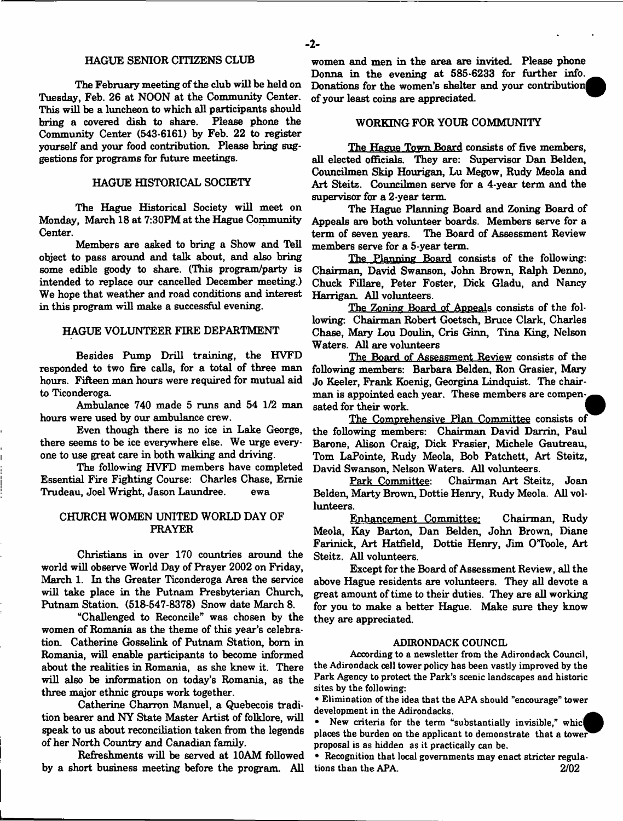#### HAGUE SENIOR CITIZENS CLUB

The February meeting of the club will be held on Tuesday, Feb. 26 at NOON at the Community Center. This will be a luncheon to which all participants should bring a covered dish to share. Please phone the Community Center (543-6161) by Feb. 22 to register yourself and your food contribution. Please bring suggestions for programs for future meetings.

#### HAGUE HISTORICAL SOCIETY

The Hague Historical Society will meet on Monday, March 18 at 7:30PM at the Hague Community Center.

Members are asked to bring a Show and Tell object to pass around and talk about, and also bring some edible goody to share. (This program/party is intended to replace our cancelled December meeting.) We hope that weather and road conditions and interest in this program will make a successful evening.

#### HAGUE VOLUNTEER FIRE DEPARTMENT

Besides Pump Drill training, the HVFD responded to two fire calls, for a total of three man hours. Fifteen man hours were required for mutual aid to Ticonderoga

Ambulance 740 made 5 runs and 54 1/2 man hours were used by our ambulance crew.

Even though there is no ice in Lake George, there seems to be ice everywhere else. We urge everyone to use great care in both walking and driving.

The following HVFD members have completed Essential Fire Fighting Course: Charles Chase, Ernie Trudeau, Joel Wright, Jason Laundree. ewa

#### CHURCH WOMEN UNITED WORLD DAY OF PRAYER

Christians in over 170 countries around the world will observe World Day of Prayer 2002 on Friday, March 1. In the Greater Ticonderoga Area the service will take place in the Putnam Presbyterian Church, Putnam Station. (518-547-8378) Snow date March 8.

"Challenged to Reconcile" was chosen by the women of Romania as the theme of this year's celebration. Catherine Gosselink of Putnam Station, bom in Romania, will enable participants to become informed about the realities in Romania, as she knew it. There will also be information on today's Romania, as the three major ethnic groups work together.

Catherine Charron Manuel, a Quebecois tradition bearer and NY State Master Artist of folklore, will speak to us about reconciliation taken from the legends of her North Country and Canadian family.

Refreshments will be served at 10AM followed by a short business meeting before the program. All

women and men in the area are invited. Please phone Donna in the evening at 585-6233 for further info. Donations for the women's shelter and your contribution of your least coins are appreciated.

# WORKING FOR YOUR COMMUNITY

The Hague Town Board consists of five members, all elected officials. They are: Supervisor Dan Belden, Councilmen Skip Hourigan, Lu Megow, Rudy Meola and Art Steitz. Councilmen serve for a 4-year term and the supervisor for a 2-year term

The Hague Planning Board and Zoning Board of Appeals are both volunteer boards. Members serve for a term of seven years. The Board of Assessment Review members serve for a 5-year term.

The Planning Board consists of the following: Chairman, David Swanson, John Brown, Ralph Denno, Chuck Fillare, Peter Foster, Dick Gladu, and Nancy Harrigan. All volunteers.

The Zoning Board of Appeals consists of the following: Chairman Robert Goetsch, Bruce Clark, Charles Chase, Mary Lou Doulin, Cris Ginn, Tina King, Nelson Waters. All are volunteers

The Board of Assessment Review consists of the following members: Barbara Belden, Ron Grasier, Mazy Jo Keeler, Frank Koenig, Georgina Lindquist. The chairman is appointed each year. These members are compensated for their work.

The Comprehensive Plan Committee consists of the following members: Chairman David Darrin, Paul Barone, Alison Craig, Dick Frasier, Michele Gautreau, Tom LaPointe, Rudy Meola, Bob Patchett, Art Steitz, David Swanson, Nelson Waters. All volunteers.

Park Committee: Chairman Art Steitz, Joan Belden, Marty Brown, Dottie Henry, Rudy Meola. All vollunteers.

Enhancement Committee: Chairman, Rudy Meola, Kay Barton, Dan Belden, John Brown, Diane Farinick, Art Hatfield, Dottie Henry, Jim O'Toole, Art Steitz. All volunteers.

Except for the Board of Assessment Review, all the above Hague residents are volunteers. They all devote a great amount of time to their duties. They are all working for you to make a better Hague. Make sure they know they are appreciated.

#### ADIRONDACK COUNCIL

Acoording to a newsletter from the Adirondack Council, the Adirondack cell tower policy has been vastly improved by the Park Agency to protect the Park's scenic landscapes and historic sites by the following:

• Elimination of the idea that the APA should "encourage" tower development in the Adirondacks.

New criteria for the term "substantially invisible," which places the burden on the applicant to demonstrate that a tower proposal is as hidden as it practically can be.

• Recognition that local governments may enact stricter regulations than the APA. 2/02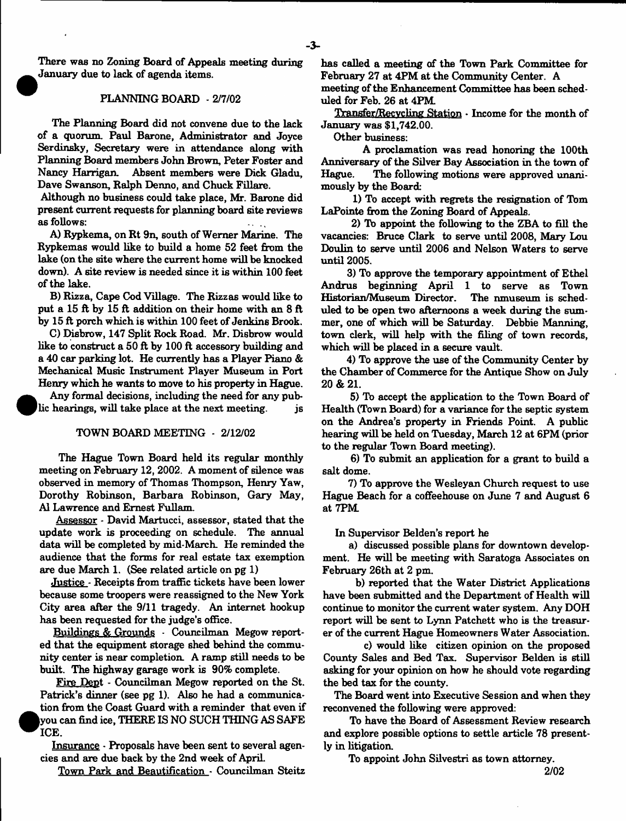There was no Zoning Board of Appeals meeting during January due to lack of agenda items.

#### PLANNING BOARD - 2/7/02

The Planning Board did not convene due to the lack of a quorum. Paul Barone, Administrator and Joyce Serdinsky, Secretary were in attendance along with Planning Board members John Brown, Peter Foster and Nancy Harrigan. Absent members were Dick Gladu, Dave Swanson, Ralph Denno, and Chuck Fillare.

Although no business could take place, Mr. Barone did present current requests for planning board site reviews as follows:

A) Rypkema, on Rt 9n, south of Werner Marine. The Rypkemas would like to build a home 52 feet from the lake (on the site where the current home will be knocked down). A site review is needed since it is within 100 feet of the lake.

B) Rizza, Cape Cod Village. The Rizzas would like to put a 15 ft by 15 ft addition on their home with an 8 ft by 15 ft porch which is within 100 feet of Jenkins Brook.

C) Disbrow, 147 Split Rock Road. Mr. Disbrow would like to construct a 50 ft by 100 ft accessory building and a 40 car parking lot. He currently has a Player Piano & Mechanical Music Instrument Player Museum in Port Henry which he wants to move to his property in Hague.

Any formal decisions, including the need for any public hearings, will take place at the next meeting.  $\qquad$  js

#### TOWN BOARD MEETING - 2/12/02

The Hague Town Board held its regular monthly meeting on February 12, 2002. A moment of silence was observed in memory of Thomas Thompson, Henry Yaw, Dorothy Robinson, Barbara Robinson, Gary May, A1 Lawrence and Ernest Fullam.

Assessor \* David Martucci, assessor, stated that the update work is proceeding on schedule. The annual data will be completed by mid-March. He reminded the audience that the forms for real estate tax exemption are due March 1. (See related article on pg 1)

Justice - Receipts from traffic tickets have been lower because some troopers were reassigned to the New York City area after the 9/11 tragedy. An internet hookup has been requested for the judge's office.

Buildings & Grounds - Councilman Megow reported that the equipment storage shed behind the community center is near completion. A ramp still needs to be built. The highway garage work is 90% complete.

Fire Dept - Councilman Megow reported on the St. Patrick's dinner (see pg 1). Also he had a communication from the Coast Guard with a reminder that even if (you can find ice, THERE IS NO SUCH THING AS SAFE ICE.

Insurance - Proposals have been sent to several agencies and are due back by the 2nd week of April.

Town Park and Beautification - Councilman Steitz

has called a meeting of the Town Park Committee for February 27 at 4PM at the Community Center. A

meeting of the Enhancement Committee has been scheduled for Feb. 26 at 4PM

Transfer/Recycling Station • Income for the month of January was \$1,742.00.

Other business:

A proclamation was read honoring the 100th Anniversary of the Silver Bay Association in the town of Hague. The following motions were approved unanimously by the Board:

1) To accept with regrets the resignation of Tom LaPointe from the Zoning Board of Appeals.

2) To appoint the following to the ZBA to fill the vacancies: Bruce Clark to serve until 2008, Mary Lou Doulin to serve until 2006 and Nelson Waters to serve until 2005.

3) To approve the temporary appointment of Ethel Andrus beginning April 1 to serve as Town Historian/Museum Director. The nmuseum is scheduled to be open two afternoons a week during the summer, one of which will be Saturday. Debbie Manning, town clerk, will help with the filing of town records, which will be placed in a secure vault.

4) To approve the use of the Community Center by the Chamber of Commerce for the Antique Show on July **20 & 21.**

5) To accept the application to the Town Board of Health (Town Board) for a variance for the septic system on the Andrea's property in Friends Point. A public hearing will be held on Tuesday, March 12 at 6PM (prior to the regular Town Board meeting).

6) To submit an application for a grant to build a salt dome.

7) To approve the Wesleyan Church request to use Hague Beach for a coffeehouse on June 7 and August 6 at 7PM

In Supervisor Belden's report he

a) discussed possible plans for downtown development. He will be meeting with Saratoga Associates on February 26th at 2 pm.

b) reported that the Water District Applications have been submitted and the Department of Health will continue to monitor the current water system. Any DOH report will be sent to Lynn Patchett who is the treasurer of the current Hague Homeowners Water Association.

c) would like citizen opinion on the proposed County Sales and Bed Tax. Supervisor Belden is still asking for your opinion on how he should vote regarding the bed tax for the county.

The Board went into Executive Session and when they reconvened the following were approved:

To have the Board of Assessment Review research and explore possible options to settle article 78 presently in litigation.

To appoint John Silvestri as town attorney.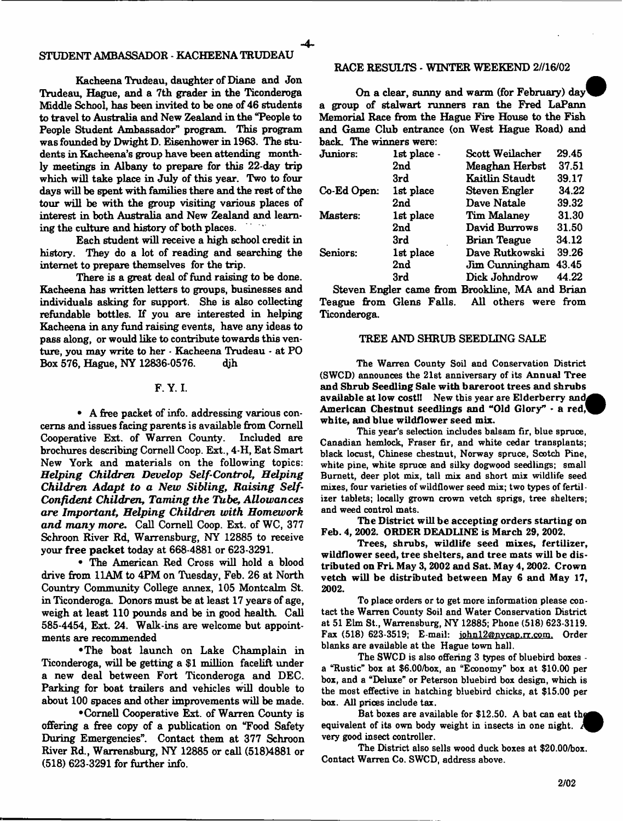# STUDENT AMBASSADOR - KACHEENA TRUDEAU

Kacheena Trudeau, daughter of Diane and Jon Trudeau, Hague, and a 7th grader in the Ticonderoga Middle School, has been invited to be one of 46 students to travel to Australia and New Zealand in the "People to People Student Ambassador" program. This program was founded by Dwight D. Eisenhower in 1963. The students in Kacheena's group have been attending monthly meetings in Albany to prepare for this 22-day trip which will take place in July of this year. Two to four days will be spent with families there and the rest of the tour will be with the group visiting various places of interest in both Australia and New Zealand and learning the culture and history of both places.

Each student will receive a high school credit in history. They do a lot of reading and searching the internet to prepare themselves for the trip.

There is a great deal of fund raising to be done. Kacheena has written letters to groups, businesses and individuals asking for support. She is also collecting refundable bottles. If you are interested in helping Kacheena in any fund raising events, have any ideas to pass along, or would like to contribute towards this venture, you may write to her - Kacheena Trudeau - at PO Box 576, Hague, NY 12836-0576. djh

# F. Y. I.

• A free packet of info, addressing various concerns and issues facing parents is available from Cornell Cooperative Ext. of Warren County. Included are brochures describing Cornell Coop. Ext., 4-H, Eat Smart New York and materials on the following topics: *Helping Children Develop Self-Control, Helping Children Adapt to a New Sibling, Raising Self-Confident Children, Taming the Tube, Allowances are Important, Helping Children with Homework and many more*. Call Cornell Coop. Ext. of WC, 377 Schroon River Rd, Warrensburg, NY 12885 to receive your free packet today at 668-4881 or 623-3291.

• The American Red Cross will hold a blood drive from 11AM to 4PM on Tuesday, Feb. 26 at North Country Community College annex, 105 Montcalm St. in Ticonderoga. Donors must be at least 17 years of age, weigh at least 110 pounds and be in good health. Call 585-4454, Ext. 24. Walk-ins are welcome but appointments are recommended

•The boat launch on Lake Champlain in Ticonderoga, will be getting a \$1 million facelift under a new deal between Fort Ticonderoga and DEC. Parking for boat trailers and vehicles will double to about 100 spaces and other improvements will be made.

•Cornell Cooperative Ext. of Warren County is offering a free copy of a publication on "Food Safety During Emergencies". Contact them at 377 Schroon River Rd., Warrensburg, NY 12885 or call (518)4881 or (518) 623-3291 for further info.

#### RACE RESULTS - WINTER WEEKEND 2//16/02

On a clear, sunny and warm (for February) day a group of stalwart runners ran the Fred LaPann Memorial Race from the Hague Fire House to the Fish and Game Club entrance (on West Hague Road) and back. The winners were:

| Juniors:    | 1st place.      | Scott Weilacher     | 29.45 |
|-------------|-----------------|---------------------|-------|
|             | 2 <sub>nd</sub> | Meaghan Herbst      | 37.51 |
|             | 3rd             | Kaitlin Staudt      | 39.17 |
| Co-Ed Open: | 1st place       | Steven Engler       | 34.22 |
|             | 2nd             | Dave Natale         | 39.32 |
| Masters:    | 1st place       | Tim Malaney         | 31.30 |
|             | 2nd             | David Burrows       | 31.50 |
|             | 3rd             | <b>Brian Teague</b> | 34.12 |
| Seniors:    | 1st place       | Dave Rutkowski      | 39.26 |
|             | 2 <sub>nd</sub> | Jim Cunningham      | 43.45 |
|             | 3rd             | Dick Johndrow       | 44.22 |
| -           |                 | ---                 | . .   |

Steven Engler came from Brookline, MA and Brian Teague from Glens Falls. All others were from Ticonderoga.

#### TREE AND SHRUB SEEDLING SALE

The Warren County Soil and Conservation District (SWCD) announces the 21st anniversary of its Annual Tree and Shrub Seedling Sale with bareroot trees and shrubs available at low cost!! New this year are Elderberry and American Chestnut seedlings and "Old Glory"  $\cdot$  a red, white, and blue wildflower seed mix.

This year's selection includes balsam fir, blue spruce, Canadian hemlock, Fraser fir, and white cedar transplants; black locust, Chinese chestnut, Norway spruce, Scotch Pine, white pine, white spruce and silky dogwood seedlings; small Burnett, deer plot mix, tall mix and short mix wildlife seed mixes, four varieties of wildflower seed mix; two types of fertilizer tablets; locally grown crown vetch sprigs, tree shelters; and weed control mats.

The District will be accepting orders starting on Feb. 4, 2002. ORDER DEADLINE is March 29, 2002.

Trees, shrubs, wildlife seed mixes, fertilizer, wildflower seed, tree shelters, and tree mats will be distributed on Fri. May 3, 2002 and Sat. May 4, 2002. Crown vetch will be distributed between May 6 and May 17, 2002**.**

To place orders or to get more information please contact the Warren County Soil and Water Conservation District at 51 Elm St., Warrensburg, NY 12885; Phone (518) 623-3119. Fax (518) 623-3519; E-mail: [iohnl2@nvcap.rr.com](mailto:iohnl2@nvcap.rr.com). Order blanks are available at the Hague town hall.

The SWCD is also offering 3 types of bluebird boxes a "Rustic" box at \$6.00/box, an "Economy" box at \$10.00 per box, and a "Deluxe" or Peterson bluebird box design, which is the most effective in hatching bluebird chicks, at \$15.00 per box. All prices include tax.

Bat boxes are available for  $$12.50$ . A bat can eat the equivalent of its own body weight in insects in one night. very good insect controller.

The District also sells wood duck boxes at \$20.00/box. Contact Warren Co. SWCD, address above.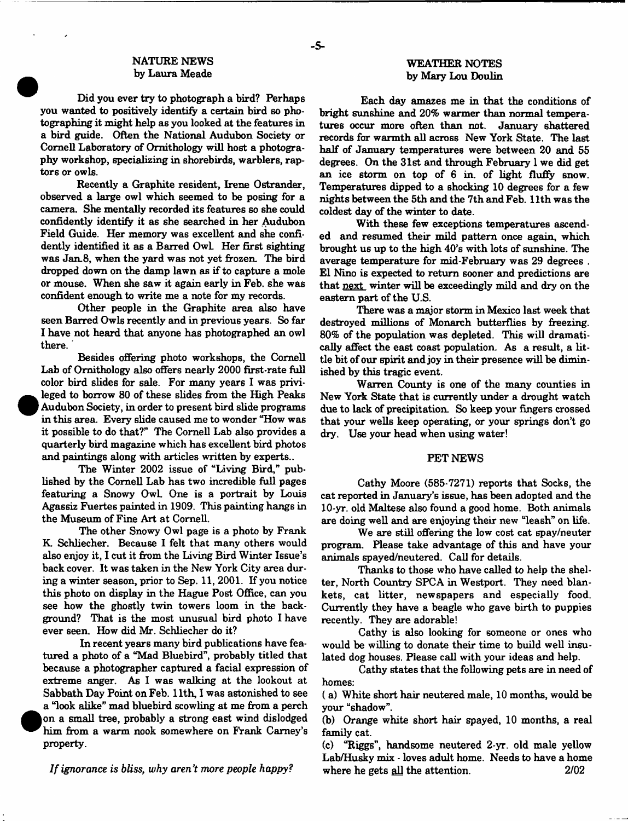# NATURE NEWS by Laura Meade

Did you ever try to photograph a bird? Perhaps you wanted to positively identify a certain bird so photographing it might help as you looked at the features in a bird guide. Often the National Audubon Society or Cornell Laboratory of Ornithology will host a photography workshop, specializing in shorebirds, warblers, raptors or owls.

Recently a Graphite resident, Irene Ostrander, observed a large owl which seemed to be posing for a camera. She mentally recorded its features so she could confidently identify it as she searched in her Audubon Field Guide. Her memory was excellent and she confidently identified it as a Barred OwL Her first sighting was Jan.8, when the yard was not yet frozen. The bird dropped down on the damp lawn as if to capture a mole or mouse. When she saw it again early in Feb. she was confident enough to write me a note for my records.

Other people in the Graphite area also have seen Barred Owls recently and in previous years. So far I have not heard that anyone has photographed an owl there.

Besides offering photo workshops, the Cornell Lab of Ornithology also offers nearly 2000 first-rate full color bird slides for sale. For many years I was privileged to borrow 80 of these slides from the High Peaks Audubon Society, in order to present bird slide programs in this area. Every slide caused me to wonder "How was it possible to do that?" The Cornell Lab also provides a quarterly bird magazine which has excellent bird photos and paintings along with articles written by experts..

The Winter 2002 issue of "Living Bird," published by the Cornell Lab has two incredible full pages featuring a Snowy OwL One is a portrait by Louis Agassiz Fuertes painted in 1909. This painting hangs in the Museum of Fine Art at Cornell.

The other Snowy Owl page is a photo by Frank K Schliecher. Because I felt that many others would also enjoy it, I cut it from the Living Bird Winter Issue's back cover. It was taken in the New York City area during a winter season, prior to Sep. 11, 2001. If you notice this photo on display in the Hague Post Office, can you see how the ghostly twin towers loom in the background? That is the most unusual bird photo I have ever seen. How did Mr. Schliecher do it?

In recent years many bird publications have featured a photo of a "Mad Bluebird", probably titled that because a photographer captured a facial expression of extreme anger. As I was walking at the lookout at Sabbath Day Point on Feb. 11th, I was astonished to see a "look alike" mad bluebird scowling at me from a perch on a small tree, probably a strong east wind dislodged him from a warm nook somewhere on Frank Carney's property.

*If ignorance is bliss, why aren't more people happy* ?

#### WEATHER NOTES by Mary Lou Doulin

Each day amazes me in that the conditions of bright sunshine and 20% warmer than normal temperatures occur more often than not. January shattered records for warmth all across New York State. The last half of January temperatures were between 20 and 55 degrees. On the 31st and through February 1 we did get an ice storm on top of 6 in. of light fluffy snow. Temperatures dipped to a shocking 10 degrees for a few nights between the 5th and the 7th and Feb. 11th was the coldest day of the winter to date.

With these few exceptions temperatures ascended and resumed their mild pattern once again, which brought us up to the high 40's with lots of sunshine. The average temperature for mid-February was 29 degrees . El Nino is expected to return sooner and predictions are that next winter will be exceedingly mild and dry on the eastern part of the U.S.

There was a major storm in Mexico last week that destroyed millions of Monarch butterflies by freezing. 80% of the population was depleted. This will dramatically affect the east coast population. As a result, a little bit of our spirit and joy in their presence will be diminished by this tragic event.

Warren County is one of the many counties in New York State that is currently under a drought watch due to lack of precipitation. So keep your fingers crossed that your wells keep operating, or your springs don't go dry. Use your head when using water!

#### PET NEWS

Cathy Moore (585-7271) reports that Socks, the cat reported in January's issue, has been adopted and the 10-yr. old Maltese also found a good home. Both animals are doing well and are enjoying their new "leash" on life.

We are still offering the low cost cat spay/neuter program. Please take advantage of this and have your animals spayed/neutered. Call for details.

Thanks to those who have called to help the shelter, North Country SPCA in Westport. They need blankets, cat litter, newspapers and especially food. Currently they have a beagle who gave birth to puppies recently. They are adorable!

Cathy is also looking for someone or ones who would be willing to donate their time to build well insulated dog houses. Please call with your ideas and help.

Cathy states that the following pets are in need of homes:

( a) White short hair neutered male, 10 months, would be your "shadow".

(b) Orange white short hair spayed, 10 months, a real family cat.

(c) "Riggs", handsome neutered 2-yr. old male yellow Lab/Husky mix - loves adult home. Needs to have a home where he gets all the attention. 2/02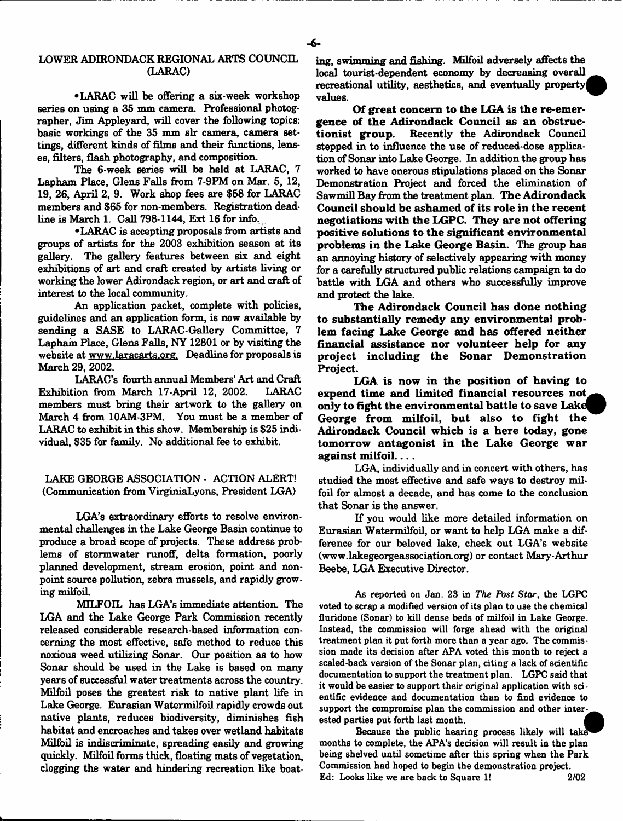# LOWEE ADIRONDACK REGIONAL ARTS COUNCIL (LARAC)

•LARAC will be offering a six-week workshop series on using a 35 mm camera. Professional photographer, Jim Appleyard, will cover the following topics: basic workings of the 35 mm sir camera, camera settings, different kinds of films and their functions, lenses, filters, flash photography, and composition.

The 6-week series will be held at LARAC, 7 Lapham Place, Glens Falls from 7-9PM on Mar. 5, 12, 19, 26, April 2, 9. Work shop fees are \$58 for LARAC members and \$65 for non-members. Registration deadline is March 1. Call 798-1144, Ext 16 for info.

•LARAC is accepting proposals from artists and groups of artists for the 2003 exhibition season at its gallery. The gallery features between six and eight exhibitions of art and craft created by artists living or working the lower Adirondack region, or art and craft of interest to the local community.

An application packet, complete with policies, guidelines and an application form, is now available by sending a SASE to LARAC-Gallery Committee, 7 Lapham Place, Glens Falls, NY 12801 or by visiting the website at [www.laracarts.org](http://www.laracarts.org). Deadline for proposals is March 29, 2002.

LARAC's fourth annual Members' Art and Craft Exhibition from March 17-April 12, 2002. LARAC members must bring their artwork to the gallery on March 4 from 10AM-3PM. You must be a member of LARAC to exhibit in this show. Membership is \$25 individual, \$35 for family. No additional fee to exhibit.

LAKE GEORGE ASSOCIATION - ACTION ALERT! (Communication from VirginiaLyons, President LGA)

LGA's extraordinary efforts to resolve environmental challenges in the Lake George Basin continue to produce a broad scope of projects. These address problems of stormwater runoff, delta formation, poorly planned development, stream erosion, point and nonpoint source pollution, zebra mussels, and rapidly growing milfoil.

MILFOIL has LGA's immediate attention. The LGA and the Lake George Park Commission recently released considerable research-based information concerning the most effective, safe method to reduce this noxious weed utilizing Sonar. Our position as to how Sonar should be used in the Lake is based on many years of successful water treatments across the country. Milfoil poses the greatest risk to native plant life in Lake George. Eurasian Watermilfoil rapidly crowds out native plants, reduces biodiversity, diminishes fish habitat and encroaches and takes over wetland habitats Milfoil is indiscriminate, spreading easily and growing quickly. Milfoil forms thick, floating mats of vegetation, clogging the water and hindering recreation like boating, swimming and fishing. Milfoil adversely affects the local tourist-dependent economy by decreasing overall recreational utility, aesthetics, and eventually property values.

Of great concern to the LGA is the re-emergence of the Adirondack Council as an obstructionist group. Recently the Adirondack Council Recently the Adirondack Council stepped in to influence the use of reduced-dose application of Sonar into Lake George. In addition the group has worked to have onerous stipulations placed on the Sonar Demonstration Project and forced the elimination of Sawmill Bay from the treatment plan. The Adirondack Council should be asham ed of its role in the recent negotiations with the LGPC. They are not offering positive solutions to the significant environmental problems in the Lake George Basin. The group has an annoying history of selectively appearing with money for a carefully structured public relations campaign to do battle with LGA and others who successfully improve and protect the lake.

The Adirondack Council has done nothing to substantially remedy any environmental problem facing Lake George and has offered neither financial assistance nor volunteer help for any project including the Sonar Demonstration Project.

LGA is now in the position of having to expend time and limited financial resources not only to fight the environmental battle to save Lake George from milfoil, but also to fight the Adirondack Council which is a here today, gone tomorrow antagonist in the Lake George war against milfoil....

LGA, individually and in concert with others, has studied the most effective and safe ways to destroy milfoil for almost a decade, and has come to the conclusion that Sonar is the answer.

If you would like more detailed information on Eurasian Watermilfoil, or want to help LGA make a difference for our beloved lake, check out LGA's website [\(www.lakegeorgeassociation.org\)](http://www.lakegeorgeassociation.org) or contact Mary-Arthur Beebe, LGA Executive Director.

As reported on Jan. 23 in *The Post Star*, the LGPC voted to scrap a modified version of its plan to use the chemical fluridone (Sonar) to kill dense beds of milfoil in Lake George. Instead, the commission will forge ahead with the original treatment plan it put forth more than a year ago. The commission made its decision after APA voted this month to reject a scaled-back version of the Sonar plan, citing a lack of scientific documentation to support the treatment plan. LGPC said that it would be easier to support their original application with scientific evidence and documentation than to find evidence to support the compromise plan the commission and other interested parties put forth last month.

Because the public hearing process likely will take months to complete, the APA's decision will result in the plan being shelved until sometime after this spring when the Park Commission had hoped to begin the demonstration project. Ed: Looks like we are back to Square 1! 2/02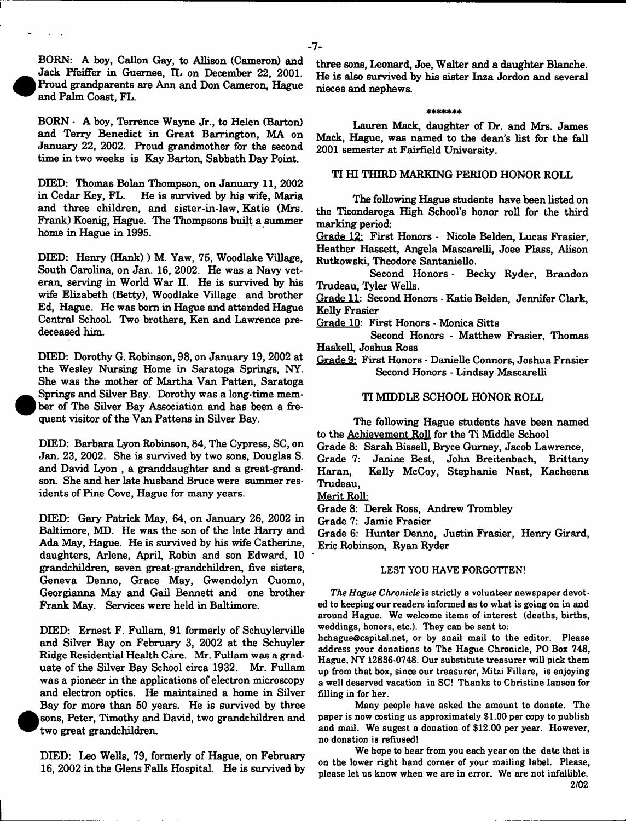BORN: A boy, Callon Gay, to Allison (Cameron) and Jack Pfeiffer in Guemee, IL on December 22, 2001. Proud grandparents are Ann and Don Cameron, Hague and Palm Coast, FL.

 $\bullet$ 

 $\bullet$ 

**e** 

BORN - A boy, Terrence Wayne Jr., to Helen (Barton) and Terry Benedict in Great Barrington, MA on January 22, 2002. Proud grandmother for the second time in two weeks is Kay Barton, Sabbath Day Point.

DIED: Thomas Bolan Thompson, on January 11, 2002 in Cedar Key, FL. He is survived by his wife, Maria and three children, and sister-in-law, Katie (Mrs. Frank) Koenig, Hague. The Thompsons built a summer home in Hague in 1995.

DIED: Henry (Hank)) M. Yaw, 75, Woodlake Village, South Carolina, on Jan. 16, 2002. He was a Navy veteran, serving in World War II. He is survived by his wife Elizabeth (Betty), Woodlake Village and brother Ed, Hague. He was bom in Hague and attended Hague Central School. Two brothers, Ken and Lawrence predeceased him.

DIED: Dorothy G. Robinson, 98, on January 19, 2002 at the Wesley Nursing Home in Saratoga Springs, NY. She was the mother of Martha Van Patten, Saratoga Springs and Silver Bay. Dorothy was a long-time member of The Silver Bay Association and has been a frequent visitor of the Van Pattens in Silver Bay.

DIED: Barbara Lyon Robinson, 84, The Cypress, SC, on Jan. 23, 2002. She is survived by two sons, Douglas S. and David Lyon , a granddaughter and a great-grandson. She and her late husband Bruce were summer residents of Pine Cove, Hague for many years.

DIED: Gary Patrick May, 64, on January 26, 2002 in Baltimore, MD. He was the son of the late Harry and Ada May, Hague. He is survived by his wife Catherine, daughters, Arlene, April, Robin and son Edward, 10 grandchildren, seven great-grandchildren, five sisters, Geneva Denno, Grace May, Gwendolyn Cuomo, Georgianna May and Gail Bennett and one brother Frank May. Services were held in Baltimore.

DEED: Ernest F. Fullam, 91 formerly of Schuylerville and Silver Bay on February 3, 2002 at the Schuyler Ridge Residential Health Care. Mr. Fullam was a graduate of the Silver Bay School circa 1932. Mr. Fullam was a pioneer in the applications of electron microscopy and electron optics. He maintained a home in Silver Bay for more than 50 years. He is survived by three sons, Peter, Timothy and David, two grandchildren and two great grandchildren.

DIED: Leo Wells, 79, formerly of Hague, on February 16, 2002 in the Glens Falls Hospital. He is survived by

three sons, Leonard, Joe, Walter and a daughter Blanche. He is also survived by his sister Inza Jordon and several nieces and nephews.

#### sichtstratenischen

Lauren Mack, daughter of Dr. and Mrs. James Mack, Hague, was named to the dean's list for the fall 2001 semester at Fairfield University.

#### TI HI THIRD MARKING PERIOD HONOR ROLL

The following Hague students have been listed on the Ticonderoga High School's honor roll for the third marking period:

Grade 12: First Honors - Nicole Belden, Lucas Frasier, Heather Hassett, Angela Mascarelli, Joee Plass, Alison Rutkowski, Theodore Santaniello.

Second Honors - Becky Ryder, Brandon Trudeau, Tyler Wells.

Grade 11: Second Honors - Katie Belden, Jennifer Clark, Kelly Frasier

Grade 10: First Honors - Monica Sitts

Second Honors - Matthew Frasier, Thomas Haskell, Joshua Ross

Grade 9: First Honors - Danielle Connors, Joshua Frasier Second Honors - Lindsay Mascarelli

#### TI MIDDLE SCHOOL HONOR ROLL

The following Hague students have been named to the Achievement Roll for the Ti Middle School

Grade 8: Sarah Bissell, Bryce Gurney, Jacob Lawrence,

Grade 7: Janine Best, John Breitenbach, Brittany Haran, Kelly McCoy, Stephanie Nast, Kacheena Trudeau,

Merit Roll:

Grade 8: Derek Ross, Andrew Trombley

Grade 7: Jamie Frasier

Grade 6: Hunter Denno, Justin Frasier, Henry Girard, Eric Robinson, Ryan Ryder

#### LEST YOU HAVE FORGOTTEN!

*The Hague Chronicle* is strictly a volunteer newspaper devoted to keeping our readers informed as to what is going on in and around Hague. We welcome items of interest (deaths, births, weddings, honors, etc.). They can be sent to:

[hchague@capital.net](mailto:hchague@capital.net), or by snail mail to the editor. Please address your donations to The Hague Chronicle, PO Box 748, Hague, NY 12836-0748. Our substitute treasurer will pick them up from that box, since our treasurer, Mitzi Fillare, is enjoying a well deserved vacation in SC! Thanks to Christine lanson for filling in for her.

Many people have asked the amount to donate. The paper is now costing us approximately \$1.00 per copy to publish and mail. We sugest a donation of \$12.00 per year. However, no donation is refiused!

We hope to hear from you each year on the date that is on the lower right hand corner of your mailing label. Please, please let us know when we are in error. We are not infallible. 2/02